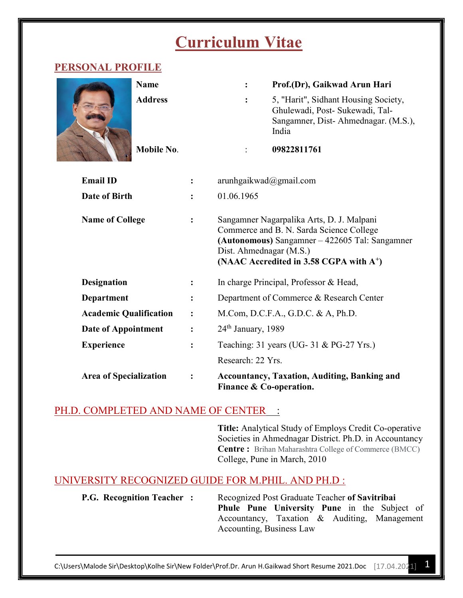# Curriculum Vitae

# PERSONAL PROFILE

|                               | <b>Name</b>    |                | :                                                                                                                                                                                                                         | Prof.(Dr), Gaikwad Arun Hari                                                                                            |  |
|-------------------------------|----------------|----------------|---------------------------------------------------------------------------------------------------------------------------------------------------------------------------------------------------------------------------|-------------------------------------------------------------------------------------------------------------------------|--|
|                               | <b>Address</b> |                | $\ddot{\cdot}$                                                                                                                                                                                                            | 5, "Harit", Sidhant Housing Society,<br>Ghulewadi, Post- Sukewadi, Tal-<br>Sangamner, Dist-Ahmednagar. (M.S.),<br>India |  |
|                               | Mobile No.     |                |                                                                                                                                                                                                                           | 09822811761                                                                                                             |  |
| <b>Email ID</b>               |                |                | arunhgaikwad@gmail.com                                                                                                                                                                                                    |                                                                                                                         |  |
| <b>Date of Birth</b>          |                |                | 01.06.1965                                                                                                                                                                                                                |                                                                                                                         |  |
| <b>Name of College</b>        |                |                | Sangamner Nagarpalika Arts, D. J. Malpani<br>Commerce and B. N. Sarda Science College<br>(Autonomous) Sangamner – 422605 Tal: Sangamner<br>Dist. Ahmednagar (M.S.)<br>(NAAC Accredited in 3.58 CGPA with A <sup>+</sup> ) |                                                                                                                         |  |
| <b>Designation</b>            |                |                | In charge Principal, Professor & Head,                                                                                                                                                                                    |                                                                                                                         |  |
| <b>Department</b>             |                |                | Department of Commerce & Research Center                                                                                                                                                                                  |                                                                                                                         |  |
| <b>Academic Qualification</b> |                | $\ddot{\cdot}$ | M.Com, D.C.F.A., G.D.C. & A, Ph.D.                                                                                                                                                                                        |                                                                                                                         |  |
| Date of Appointment           |                |                | 24 <sup>th</sup> January, 1989                                                                                                                                                                                            |                                                                                                                         |  |
| <b>Experience</b>             |                |                |                                                                                                                                                                                                                           | Teaching: 31 years (UG- 31 & PG-27 Yrs.)                                                                                |  |
|                               |                |                | Research: 22 Yrs.                                                                                                                                                                                                         |                                                                                                                         |  |
| <b>Area of Specialization</b> |                |                | <b>Accountancy, Taxation, Auditing, Banking and</b><br>Finance & Co-operation.                                                                                                                                            |                                                                                                                         |  |

## PH.D. COMPLETED AND NAME OF CENTER :

Title: Analytical Study of Employs Credit Co-operative Societies in Ahmednagar District. Ph.D. in Accountancy Centre : Brihan Maharashtra College of Commerce (BMCC) College, Pune in March, 2010

# UNIVERSITY RECOGNIZED GUIDE FOR M.PHIL. AND PH.D :

**P.G. Recognition Teacher :** Recognized Post Graduate Teacher of Savitribai Phule Pune University Pune in the Subject of Accountancy, Taxation & Auditing, Management Accounting, Business Law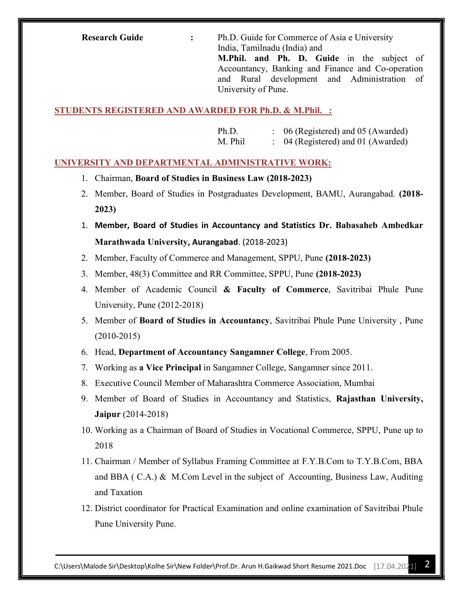Research Guide : Ph.D. Guide for Commerce of Asia e University India, Tamilnadu (India) and

M.Phil. and Ph. D. Guide in the subject of Accountancy, Banking and Finance and Co-operation and Rural development and Administration of University of Pune.

STUDENTS REGISTERED AND AWARDED FOR Ph.D. & M.Phil. :

Ph.D. : 06 (Registered) and 05 (Awarded) M. Phil : 04 (Registered) and 01 (Awarded)

#### UNIVERSITY AND DEPARTMENTAL ADMINISTRATIVE WORK:

- 1. Chairman, Board of Studies in Business Law (2018-2023)
- 2. Member, Board of Studies in Postgraduates Development, BAMU, Aurangabad. (2018- 2023)
- 1. Member, Board of Studies in Accountancy and Statistics Dr. Babasaheb Ambedkar Marathwada University, Aurangabad. (2018-2023)
- 2. Member, Faculty of Commerce and Management, SPPU, Pune (2018-2023)
- 3. Member, 48(3) Committee and RR Committee, SPPU, Pune (2018-2023)
- 4. Member of Academic Council & Faculty of Commerce, Savitribai Phule Pune University, Pune (2012-2018)
- 5. Member of Board of Studies in Accountancy, Savitribai Phule Pune University , Pune (2010-2015)
- 6. Head, Department of Accountancy Sangamner College, From 2005.
- 7. Working as a Vice Principal in Sangamner College, Sangamner since 2011.
- 8. Executive Council Member of Maharashtra Commerce Association, Mumbai
- 9. Member of Board of Studies in Accountancy and Statistics, Rajasthan University, Jaipur (2014-2018)
- 10. Working as a Chairman of Board of Studies in Vocational Commerce, SPPU, Pune up to 2018
- 11. Chairman / Member of Syllabus Framing Committee at F.Y.B.Com to T.Y.B.Com, BBA and BBA ( C.A.)  $\&$  M.Com Level in the subject of Accounting, Business Law, Auditing and Taxation
- 12. District coordinator for Practical Examination and online examination of Savitribai Phule Pune University Pune.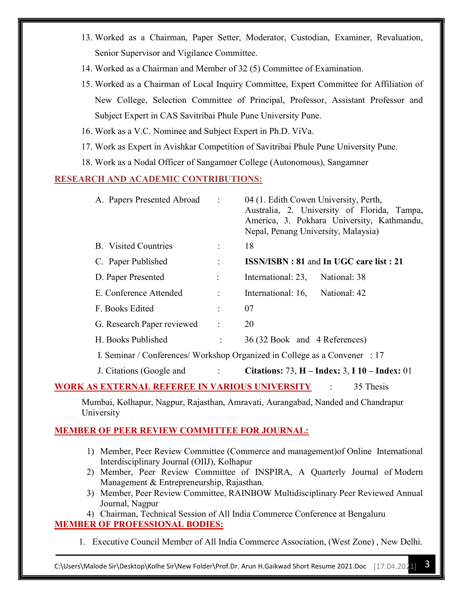- 13. Worked as a Chairman, Paper Setter, Moderator, Custodian, Examiner, Revaluation, Senior Supervisor and Vigilance Committee.
- 14. Worked as a Chairman and Member of 32 (5) Committee of Examination.
- 15. Worked as a Chairman of Local Inquiry Committee, Expert Committee for Affiliation of New College, Selection Committee of Principal, Professor, Assistant Professor and Subject Expert in CAS Savitribai Phule Pune University Pune.
- 16. Work as a V.C. Nominee and Subject Expert in Ph.D. ViVa.
- 17. Work as Expert in Avishkar Competition of Savitribai Phule Pune University Pune.
- 18. Work as a Nodal Officer of Sangamner College (Autonomous), Sangamner

#### RESEARCH AND ACADEMIC CONTRIBUTIONS:

| A. Papers Presented Abroad                                                       | $\sim 10$            | 04 (1. Edith Cowen University, Perth,<br>Australia, 2. University of Florida, Tampa,<br>America, 3. Pokhara University, Kathmandu,<br>Nepal, Penang University, Malaysia) |  |  |  |
|----------------------------------------------------------------------------------|----------------------|---------------------------------------------------------------------------------------------------------------------------------------------------------------------------|--|--|--|
| <b>B.</b> Visited Countries                                                      | $\ddot{\phantom{a}}$ | 18                                                                                                                                                                        |  |  |  |
| C. Paper Published                                                               | $\ddot{\phantom{a}}$ | <b>ISSN/ISBN: 81 and In UGC care list: 21</b>                                                                                                                             |  |  |  |
| D. Paper Presented                                                               | ÷                    | International: 23,<br>National: 38                                                                                                                                        |  |  |  |
| E. Conference Attended                                                           | $\ddot{\phantom{a}}$ | International: 16,<br>National: 42                                                                                                                                        |  |  |  |
| F. Books Edited                                                                  | $\ddot{\phantom{a}}$ | 07                                                                                                                                                                        |  |  |  |
| G. Research Paper reviewed                                                       | $\ddot{\cdot}$       | 20                                                                                                                                                                        |  |  |  |
| H. Books Published                                                               | $\ddot{\cdot}$       | 36 (32 Book and 4 References)                                                                                                                                             |  |  |  |
| I. Seminar / Conferences/ Workshop Organized in College as a Convener : 17       |                      |                                                                                                                                                                           |  |  |  |
| J. Citations (Google and :                                                       |                      | <b>Citations: 73, H – Index: 3, I 10 – Index: 01</b>                                                                                                                      |  |  |  |
| <u>WORK AS EXTERNAL REFEREE IN VARIOUS UNIVERSITY</u><br>35 Thesis               |                      |                                                                                                                                                                           |  |  |  |
| Mumbai, Kolhapur, Nagpur, Rajasthan, Amravati, Aurangabad, Nanded and Chandrapur |                      |                                                                                                                                                                           |  |  |  |

University

### MEMBER OF PEER REVIEW COMMITTEE FOR JOURNAL:

- 1) Member, Peer Review Committee (Commerce and management)of Online International Interdisciplinary Journal (OIIJ), Kolhapur
- 2) Member, Peer Review Committee of INSPIRA, A Quarterly Journal of Modern Management & Entrepreneurship, Rajasthan.
- 3) Member, Peer Review Committee, RAINBOW Multidisciplinary Peer Reviewed Annual Journal, Nagpur

4) Chairman, Technical Session of All India Commerce Conference at Bengaluru MEMBER OF PROFESSIONAL BODIES:

1. Executive Council Member of All India Commerce Association, (West Zone) , New Delhi.

C:\Users\Malode Sir\Desktop\Kolhe Sir\New Folder\Prof.Dr. Arun H.Gaikwad Short Resume 2021.Doc [17.04.2021] 3